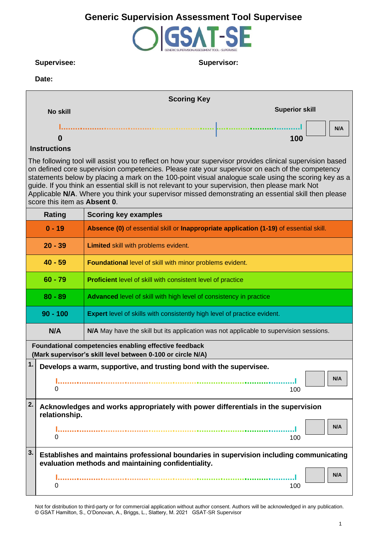# **Generic Supervision Assessment Tool Supervisee**



### **Supervisee: Supervisor:**

### **Date:**

|                                                                                                                                                                                                                                                                                                                                                                                                                                                                                                                                                                | <b>Scoring Key</b>                                                                                                                              |  |  |  |  |  |  |  |  |
|----------------------------------------------------------------------------------------------------------------------------------------------------------------------------------------------------------------------------------------------------------------------------------------------------------------------------------------------------------------------------------------------------------------------------------------------------------------------------------------------------------------------------------------------------------------|-------------------------------------------------------------------------------------------------------------------------------------------------|--|--|--|--|--|--|--|--|
| <b>No skill</b>                                                                                                                                                                                                                                                                                                                                                                                                                                                                                                                                                | <b>Superior skill</b>                                                                                                                           |  |  |  |  |  |  |  |  |
|                                                                                                                                                                                                                                                                                                                                                                                                                                                                                                                                                                | N/A                                                                                                                                             |  |  |  |  |  |  |  |  |
| O                                                                                                                                                                                                                                                                                                                                                                                                                                                                                                                                                              | 100                                                                                                                                             |  |  |  |  |  |  |  |  |
| <b>Instructions</b>                                                                                                                                                                                                                                                                                                                                                                                                                                                                                                                                            |                                                                                                                                                 |  |  |  |  |  |  |  |  |
| The following tool will assist you to reflect on how your supervisor provides clinical supervision based<br>on defined core supervision competencies. Please rate your supervisor on each of the competency<br>statements below by placing a mark on the 100-point visual analogue scale using the scoring key as a<br>guide. If you think an essential skill is not relevant to your supervision, then please mark Not<br>Applicable N/A. Where you think your supervisor missed demonstrating an essential skill then please<br>score this item as Absent 0. |                                                                                                                                                 |  |  |  |  |  |  |  |  |
| <b>Rating</b>                                                                                                                                                                                                                                                                                                                                                                                                                                                                                                                                                  | <b>Scoring key examples</b>                                                                                                                     |  |  |  |  |  |  |  |  |
| $0 - 19$<br>Absence (0) of essential skill or Inappropriate application (1-19) of essential skill.                                                                                                                                                                                                                                                                                                                                                                                                                                                             |                                                                                                                                                 |  |  |  |  |  |  |  |  |
| $20 - 39$                                                                                                                                                                                                                                                                                                                                                                                                                                                                                                                                                      | Limited skill with problems evident.                                                                                                            |  |  |  |  |  |  |  |  |
| $40 - 59$                                                                                                                                                                                                                                                                                                                                                                                                                                                                                                                                                      | Foundational level of skill with minor problems evident.                                                                                        |  |  |  |  |  |  |  |  |
| $60 - 79$                                                                                                                                                                                                                                                                                                                                                                                                                                                                                                                                                      | <b>Proficient</b> level of skill with consistent level of practice                                                                              |  |  |  |  |  |  |  |  |
| $80 - 89$                                                                                                                                                                                                                                                                                                                                                                                                                                                                                                                                                      | Advanced level of skill with high level of consistency in practice                                                                              |  |  |  |  |  |  |  |  |
| $90 - 100$                                                                                                                                                                                                                                                                                                                                                                                                                                                                                                                                                     | <b>Expert</b> level of skills with consistently high level of practice evident.                                                                 |  |  |  |  |  |  |  |  |
| N/A                                                                                                                                                                                                                                                                                                                                                                                                                                                                                                                                                            | N/A May have the skill but its application was not applicable to supervision sessions.                                                          |  |  |  |  |  |  |  |  |
|                                                                                                                                                                                                                                                                                                                                                                                                                                                                                                                                                                | Foundational competencies enabling effective feedback<br>(Mark supervisor's skill level between 0-100 or circle N/A)                            |  |  |  |  |  |  |  |  |
| 1.                                                                                                                                                                                                                                                                                                                                                                                                                                                                                                                                                             | Develops a warm, supportive, and trusting bond with the supervisee.                                                                             |  |  |  |  |  |  |  |  |
| 0                                                                                                                                                                                                                                                                                                                                                                                                                                                                                                                                                              | N/A<br>100                                                                                                                                      |  |  |  |  |  |  |  |  |
| 2.<br>relationship.                                                                                                                                                                                                                                                                                                                                                                                                                                                                                                                                            | Acknowledges and works appropriately with power differentials in the supervision                                                                |  |  |  |  |  |  |  |  |
| 0<br>100                                                                                                                                                                                                                                                                                                                                                                                                                                                                                                                                                       |                                                                                                                                                 |  |  |  |  |  |  |  |  |
| 3.                                                                                                                                                                                                                                                                                                                                                                                                                                                                                                                                                             | Establishes and maintains professional boundaries in supervision including communicating<br>evaluation methods and maintaining confidentiality. |  |  |  |  |  |  |  |  |
| 0                                                                                                                                                                                                                                                                                                                                                                                                                                                                                                                                                              | N/A<br>100                                                                                                                                      |  |  |  |  |  |  |  |  |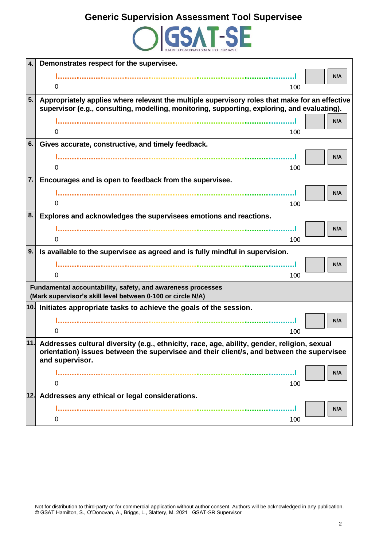

| 4.  | Demonstrates respect for the supervisee.                                                                     |
|-----|--------------------------------------------------------------------------------------------------------------|
|     | N/A                                                                                                          |
|     | 0<br>100                                                                                                     |
| 5.  | Appropriately applies where relevant the multiple supervisory roles that make for an effective               |
|     | supervisor (e.g., consulting, modelling, monitoring, supporting, exploring, and evaluating).                 |
|     | N/A                                                                                                          |
|     | 0<br>100                                                                                                     |
| 6.  | Gives accurate, constructive, and timely feedback.                                                           |
|     | N/A                                                                                                          |
|     | $\Omega$<br>100                                                                                              |
| 7.  | Encourages and is open to feedback from the supervisee.                                                      |
|     | N/A                                                                                                          |
|     | 0<br>100                                                                                                     |
| 8.  | Explores and acknowledges the supervisees emotions and reactions.                                            |
|     | N/A                                                                                                          |
|     | $\Omega$<br>100                                                                                              |
| 9.  | Is available to the supervisee as agreed and is fully mindful in supervision.                                |
|     | N/A                                                                                                          |
|     | 0<br>100                                                                                                     |
|     | Fundamental accountability, safety, and awareness processes                                                  |
|     | (Mark supervisor's skill level between 0-100 or circle N/A)                                                  |
|     | 10. Initiates appropriate tasks to achieve the goals of the session.                                         |
|     | N/A                                                                                                          |
|     | 0<br>100                                                                                                     |
|     | 11. Addresses cultural diversity (e.g., ethnicity, race, age, ability, gender, religion, sexual              |
|     | orientation) issues between the supervisee and their client/s, and between the supervisee<br>and supervisor. |
|     | N/A                                                                                                          |
|     | 0<br>100                                                                                                     |
| 12. | Addresses any ethical or legal considerations.                                                               |
|     | N/A                                                                                                          |
|     | 0<br>100                                                                                                     |
|     |                                                                                                              |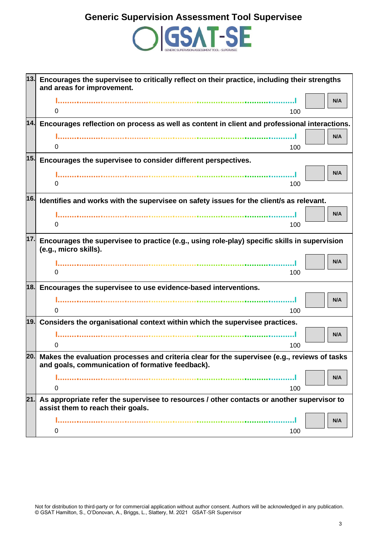

| 13. | Encourages the supervisee to critically reflect on their practice, including their strengths<br>and areas for improvement.      |  |  |  |  |  |  |
|-----|---------------------------------------------------------------------------------------------------------------------------------|--|--|--|--|--|--|
|     | N/A                                                                                                                             |  |  |  |  |  |  |
|     | 0<br>100                                                                                                                        |  |  |  |  |  |  |
|     | $14.$ Encourages reflection on process as well as content in client and professional interactions.                              |  |  |  |  |  |  |
|     | N/A                                                                                                                             |  |  |  |  |  |  |
|     | 0<br>100                                                                                                                        |  |  |  |  |  |  |
| 15. | Encourages the supervisee to consider different perspectives.                                                                   |  |  |  |  |  |  |
|     | N/A                                                                                                                             |  |  |  |  |  |  |
|     | 0<br>100                                                                                                                        |  |  |  |  |  |  |
| 16. | Identifies and works with the supervisee on safety issues for the client/s as relevant.                                         |  |  |  |  |  |  |
|     | N/A                                                                                                                             |  |  |  |  |  |  |
|     | 0<br>100                                                                                                                        |  |  |  |  |  |  |
| 17. | Encourages the supervisee to practice (e.g., using role-play) specific skills in supervision                                    |  |  |  |  |  |  |
|     | (e.g., micro skills).                                                                                                           |  |  |  |  |  |  |
|     | N/A                                                                                                                             |  |  |  |  |  |  |
|     | 100<br>0                                                                                                                        |  |  |  |  |  |  |
|     | 18. Encourages the supervisee to use evidence-based interventions.                                                              |  |  |  |  |  |  |
|     | N/A                                                                                                                             |  |  |  |  |  |  |
|     | 0<br>100                                                                                                                        |  |  |  |  |  |  |
| 19. | Considers the organisational context within which the supervisee practices.                                                     |  |  |  |  |  |  |
|     | N/A                                                                                                                             |  |  |  |  |  |  |
|     | 0<br>100                                                                                                                        |  |  |  |  |  |  |
| 20. | Makes the evaluation processes and criteria clear for the supervisee (e.g., reviews of tasks                                    |  |  |  |  |  |  |
|     | and goals, communication of formative feedback).                                                                                |  |  |  |  |  |  |
|     | N/A                                                                                                                             |  |  |  |  |  |  |
|     | 0<br>100                                                                                                                        |  |  |  |  |  |  |
| 21. | As appropriate refer the supervisee to resources / other contacts or another supervisor to<br>assist them to reach their goals. |  |  |  |  |  |  |
|     | N/A                                                                                                                             |  |  |  |  |  |  |
|     | 100<br>0                                                                                                                        |  |  |  |  |  |  |
|     |                                                                                                                                 |  |  |  |  |  |  |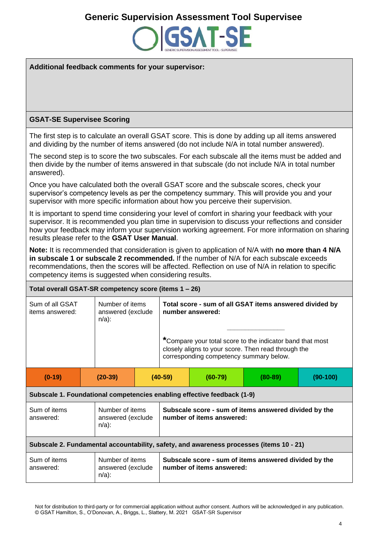## **Generic Supervision Assessment Tool Supervisee**



**Additional feedback comments for your supervisor:**

### **GSAT-SE Supervisee Scoring**

The first step is to calculate an overall GSAT score. This is done by adding up all items answered and dividing by the number of items answered (do not include N/A in total number answered).

The second step is to score the two subscales. For each subscale all the items must be added and then divide by the number of items answered in that subscale (do not include N/A in total number answered).

Once you have calculated both the overall GSAT score and the subscale scores, check your supervisor's competency levels as per the competency summary. This will provide you and your supervisor with more specific information about how you perceive their supervision.

It is important to spend time considering your level of comfort in sharing your feedback with your supervisor. It is recommended you plan time in supervision to discuss your reflections and consider how your feedback may inform your supervision working agreement. For more information on sharing results please refer to the **GSAT User Manual**.

**Note:** It is recommended that consideration is given to application of N/A with **no more than 4 N/A in subscale 1 or subscale 2 recommended.** If the number of N/A for each subscale exceeds recommendations, then the scores will be affected. Reflection on use of N/A in relation to specific competency items is suggested when considering results.

| Total overall GSAT-SR competency score (items 1 - 26)                                   |  |                                                  |  |                                                                                                                                                             |           |             |            |  |  |  |  |
|-----------------------------------------------------------------------------------------|--|--------------------------------------------------|--|-------------------------------------------------------------------------------------------------------------------------------------------------------------|-----------|-------------|------------|--|--|--|--|
| Sum of all GSAT<br>items answered:                                                      |  | Number of items<br>answered (exclude<br>$n/a$ :  |  | Total score - sum of all GSAT items answered divided by<br>number answered:                                                                                 |           |             |            |  |  |  |  |
|                                                                                         |  |                                                  |  | *Compare your total score to the indicator band that most<br>closely aligns to your score. Then read through the<br>corresponding competency summary below. |           |             |            |  |  |  |  |
| $(0-19)$                                                                                |  | $(20-39)$                                        |  | $(40-59)$                                                                                                                                                   | $(60-79)$ | $(80 - 89)$ | $(90-100)$ |  |  |  |  |
| Subscale 1. Foundational competencies enabling effective feedback (1-9)                 |  |                                                  |  |                                                                                                                                                             |           |             |            |  |  |  |  |
| Sum of items<br>answered:                                                               |  | Number of items<br>answered (exclude<br>$n/a$ ): |  | Subscale score - sum of items answered divided by the<br>number of items answered:                                                                          |           |             |            |  |  |  |  |
| Subscale 2. Fundamental accountability, safety, and awareness processes (items 10 - 21) |  |                                                  |  |                                                                                                                                                             |           |             |            |  |  |  |  |
| Sum of items<br>answered:                                                               |  | Number of items<br>answered (exclude<br>$n/a$ ): |  | Subscale score - sum of items answered divided by the<br>number of items answered:                                                                          |           |             |            |  |  |  |  |